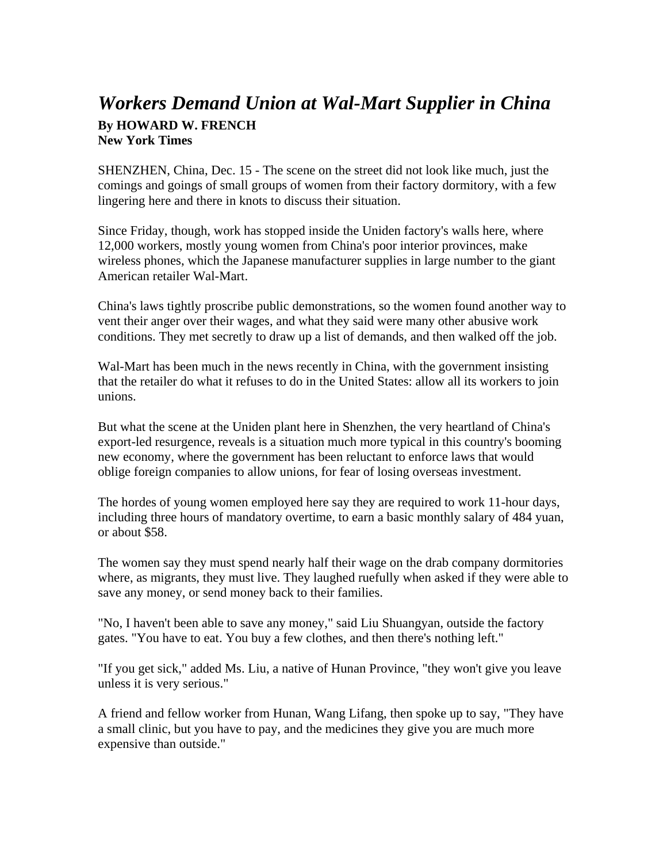## *Workers Demand Union at Wal-Mart Supplier in China*  **By HOWARD W. FRENCH New York Times**

SHENZHEN, China, Dec. 15 - The scene on the street did not look like much, just the comings and goings of small groups of women from their factory dormitory, with a few lingering here and there in knots to discuss their situation.

Since Friday, though, work has stopped inside the Uniden factory's walls here, where 12,000 workers, mostly young women from China's poor interior provinces, make wireless phones, which the Japanese manufacturer supplies in large number to the giant American retailer Wal-Mart.

China's laws tightly proscribe public demonstrations, so the women found another way to vent their anger over their wages, and what they said were many other abusive work conditions. They met secretly to draw up a list of demands, and then walked off the job.

Wal-Mart has been much in the news recently in China, with the government insisting that the retailer do what it refuses to do in the United States: allow all its workers to join unions.

But what the scene at the Uniden plant here in Shenzhen, the very heartland of China's export-led resurgence, reveals is a situation much more typical in this country's booming new economy, where the government has been reluctant to enforce laws that would oblige foreign companies to allow unions, for fear of losing overseas investment.

The hordes of young women employed here say they are required to work 11-hour days, including three hours of mandatory overtime, to earn a basic monthly salary of 484 yuan, or about \$58.

The women say they must spend nearly half their wage on the drab company dormitories where, as migrants, they must live. They laughed ruefully when asked if they were able to save any money, or send money back to their families.

"No, I haven't been able to save any money," said Liu Shuangyan, outside the factory gates. "You have to eat. You buy a few clothes, and then there's nothing left."

"If you get sick," added Ms. Liu, a native of Hunan Province, "they won't give you leave unless it is very serious."

A friend and fellow worker from Hunan, Wang Lifang, then spoke up to say, "They have a small clinic, but you have to pay, and the medicines they give you are much more expensive than outside."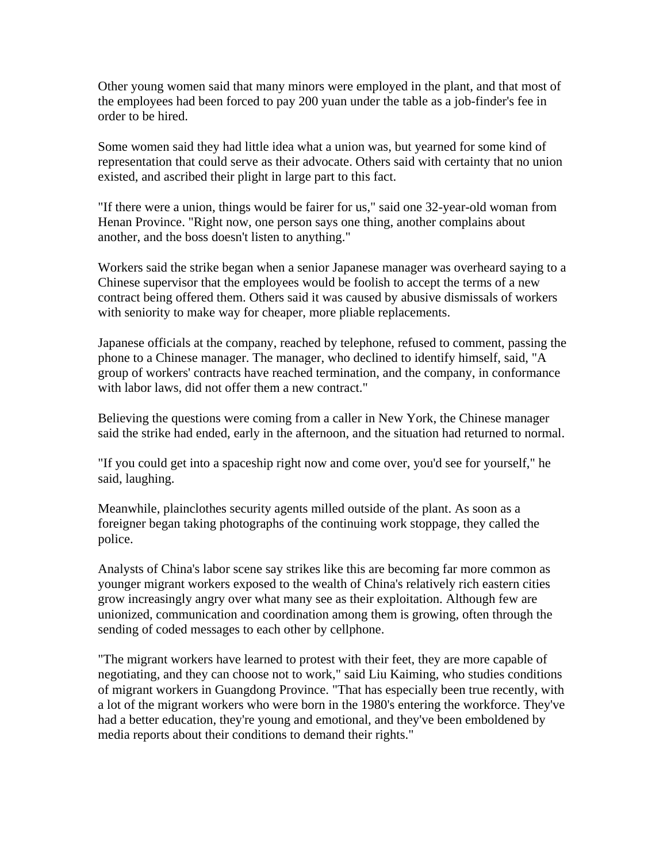Other young women said that many minors were employed in the plant, and that most of the employees had been forced to pay 200 yuan under the table as a job-finder's fee in order to be hired.

Some women said they had little idea what a union was, but yearned for some kind of representation that could serve as their advocate. Others said with certainty that no union existed, and ascribed their plight in large part to this fact.

"If there were a union, things would be fairer for us," said one 32-year-old woman from Henan Province. "Right now, one person says one thing, another complains about another, and the boss doesn't listen to anything."

Workers said the strike began when a senior Japanese manager was overheard saying to a Chinese supervisor that the employees would be foolish to accept the terms of a new contract being offered them. Others said it was caused by abusive dismissals of workers with seniority to make way for cheaper, more pliable replacements.

Japanese officials at the company, reached by telephone, refused to comment, passing the phone to a Chinese manager. The manager, who declined to identify himself, said, "A group of workers' contracts have reached termination, and the company, in conformance with labor laws, did not offer them a new contract."

Believing the questions were coming from a caller in New York, the Chinese manager said the strike had ended, early in the afternoon, and the situation had returned to normal.

"If you could get into a spaceship right now and come over, you'd see for yourself," he said, laughing.

Meanwhile, plainclothes security agents milled outside of the plant. As soon as a foreigner began taking photographs of the continuing work stoppage, they called the police.

Analysts of China's labor scene say strikes like this are becoming far more common as younger migrant workers exposed to the wealth of China's relatively rich eastern cities grow increasingly angry over what many see as their exploitation. Although few are unionized, communication and coordination among them is growing, often through the sending of coded messages to each other by cellphone.

"The migrant workers have learned to protest with their feet, they are more capable of negotiating, and they can choose not to work," said Liu Kaiming, who studies conditions of migrant workers in Guangdong Province. "That has especially been true recently, with a lot of the migrant workers who were born in the 1980's entering the workforce. They've had a better education, they're young and emotional, and they've been emboldened by media reports about their conditions to demand their rights."